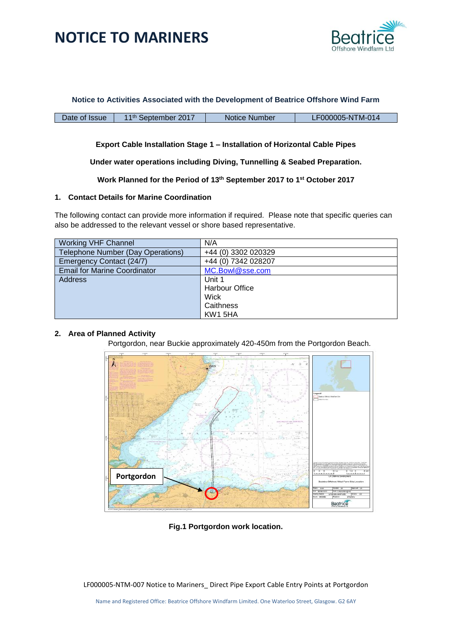

**Notice to Activities Associated with the Development of Beatrice Offshore Wind Farm**

Date of Issue | 11<sup>th</sup> September 2017 | Notice Number | LF000005-NTM-014

#### **Export Cable Installation Stage 1 – Installation of Horizontal Cable Pipes**

**Under water operations including Diving, Tunnelling & Seabed Preparation.**

**Work Planned for the Period of 13th September 2017 to 1 st October 2017**

#### **1. Contact Details for Marine Coordination**

The following contact can provide more information if required. Please note that specific queries can also be addressed to the relevant vessel or shore based representative.

| <b>Working VHF Channel</b>          | N/A                   |
|-------------------------------------|-----------------------|
| Telephone Number (Day Operations)   | +44 (0) 3302 020329   |
| Emergency Contact (24/7)            | +44 (0) 7342 028207   |
| <b>Email for Marine Coordinator</b> | MC.Bowl@sse.com       |
| <b>Address</b>                      | Unit 1                |
|                                     | <b>Harbour Office</b> |
|                                     | Wick                  |
|                                     | Caithness             |
|                                     | KW1 5HA               |

#### **2. Area of Planned Activity**

Portgordon, near Buckie approximately 420-450m from the Portgordon Beach.



**Fig.1 Portgordon work location.**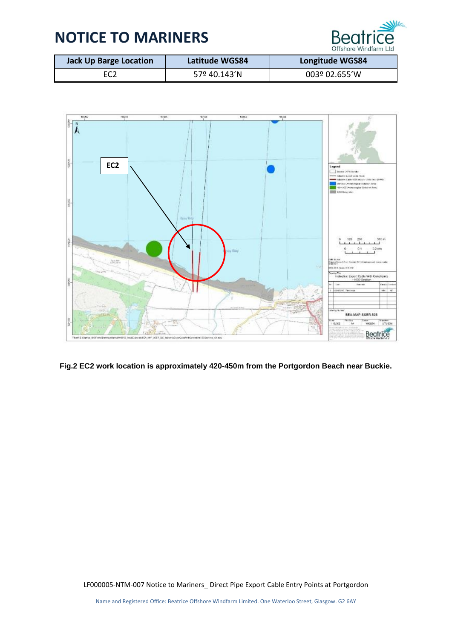

| <b>Jack Up Barge Location</b> | Latitude WGS84 | <b>Longitude WGS84</b> |
|-------------------------------|----------------|------------------------|
| EC <sub>2</sub>               | 57º 40.143'N   | 003º 02.655'W          |



**Fig.2 EC2 work location is approximately 420-450m from the Portgordon Beach near Buckie.**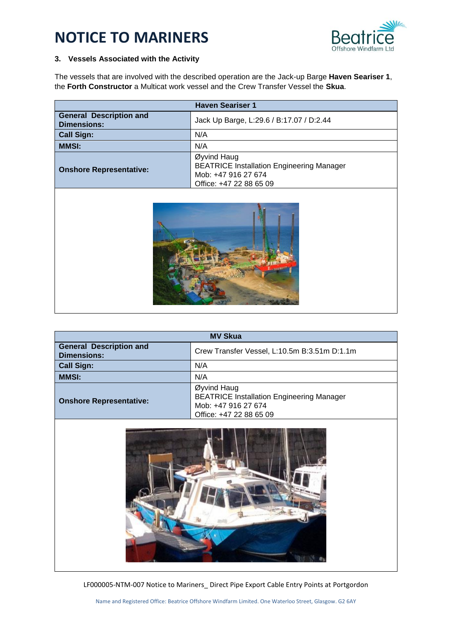

### **3. Vessels Associated with the Activity**

The vessels that are involved with the described operation are the Jack-up Barge **Haven Seariser 1**, the **Forth Constructor** a Multicat work vessel and the Crew Transfer Vessel the **Skua**.

| <b>Haven Seariser 1</b>                              |                                                                                                                   |  |
|------------------------------------------------------|-------------------------------------------------------------------------------------------------------------------|--|
| <b>General Description and</b><br><b>Dimensions:</b> | Jack Up Barge, L:29.6 / B:17.07 / D:2.44                                                                          |  |
| <b>Call Sign:</b>                                    | N/A                                                                                                               |  |
| <b>MMSI:</b>                                         | N/A                                                                                                               |  |
| <b>Onshore Representative:</b>                       | Øyvind Haug<br><b>BEATRICE Installation Engineering Manager</b><br>Mob: +47 916 27 674<br>Office: +47 22 88 65 09 |  |
|                                                      |                                                                                                                   |  |

| <b>MV Skua</b>                                       |                                                                                                                   |  |
|------------------------------------------------------|-------------------------------------------------------------------------------------------------------------------|--|
| <b>General Description and</b><br><b>Dimensions:</b> | Crew Transfer Vessel, L:10.5m B:3.51m D:1.1m                                                                      |  |
| <b>Call Sign:</b>                                    | N/A                                                                                                               |  |
| <b>MMSI:</b>                                         | N/A                                                                                                               |  |
| <b>Onshore Representative:</b>                       | Øyvind Haug<br><b>BEATRICE Installation Engineering Manager</b><br>Mob: +47 916 27 674<br>Office: +47 22 88 65 09 |  |

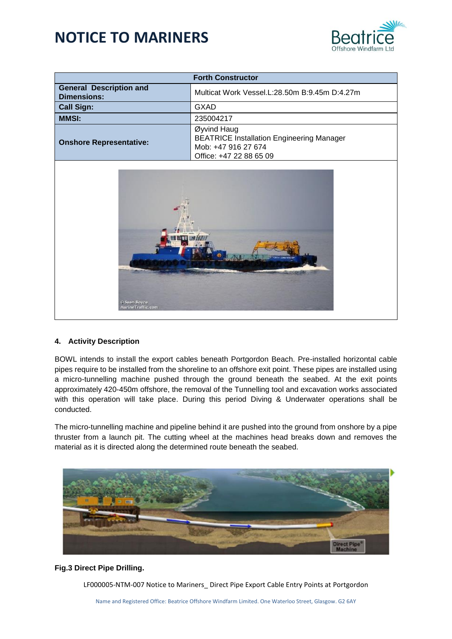

| <b>Forth Constructor</b>                             |                                                                                                                   |  |
|------------------------------------------------------|-------------------------------------------------------------------------------------------------------------------|--|
| <b>General Description and</b><br><b>Dimensions:</b> | Multicat Work Vessel.L:28.50m B:9.45m D:4.27m                                                                     |  |
| <b>Call Sign:</b>                                    | GXAD                                                                                                              |  |
| <b>MMSI:</b>                                         | 235004217                                                                                                         |  |
| <b>Onshore Representative:</b>                       | Øyvind Haug<br><b>BEATRICE Installation Engineering Manager</b><br>Mob: +47 916 27 674<br>Office: +47 22 88 65 09 |  |



#### **4. Activity Description**

BOWL intends to install the export cables beneath Portgordon Beach. Pre-installed horizontal cable pipes require to be installed from the shoreline to an offshore exit point. These pipes are installed using a micro-tunnelling machine pushed through the ground beneath the seabed. At the exit points approximately 420-450m offshore, the removal of the Tunnelling tool and excavation works associated with this operation will take place. During this period Diving & Underwater operations shall be conducted.

The micro-tunnelling machine and pipeline behind it are pushed into the ground from onshore by a pipe thruster from a launch pit. The cutting wheel at the machines head breaks down and removes the material as it is directed along the determined route beneath the seabed.



#### **Fig.3 Direct Pipe Drilling.**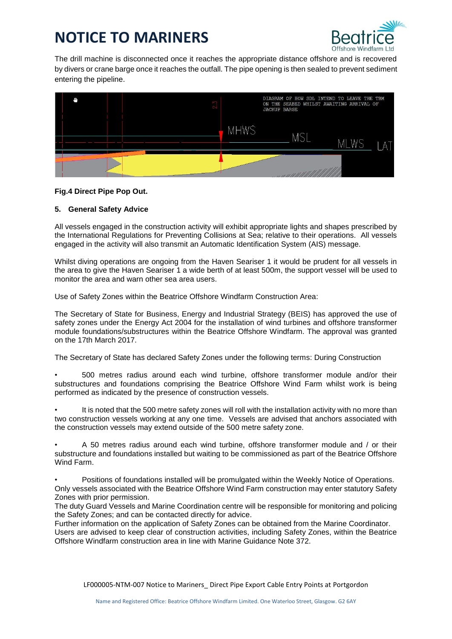

The drill machine is disconnected once it reaches the appropriate distance offshore and is recovered by divers or crane barge once it reaches the outfall. The pipe opening is then sealed to prevent sediment entering the pipeline.



#### **Fig.4 Direct Pipe Pop Out.**

#### **5. General Safety Advice**

All vessels engaged in the construction activity will exhibit appropriate lights and shapes prescribed by the International Regulations for Preventing Collisions at Sea; relative to their operations. All vessels engaged in the activity will also transmit an Automatic Identification System (AIS) message.

Whilst diving operations are ongoing from the Haven Seariser 1 it would be prudent for all vessels in the area to give the Haven Seariser 1 a wide berth of at least 500m, the support vessel will be used to monitor the area and warn other sea area users.

Use of Safety Zones within the Beatrice Offshore Windfarm Construction Area:

The Secretary of State for Business, Energy and Industrial Strategy (BEIS) has approved the use of safety zones under the Energy Act 2004 for the installation of wind turbines and offshore transformer module foundations/substructures within the Beatrice Offshore Windfarm. The approval was granted on the 17th March 2017.

The Secretary of State has declared Safety Zones under the following terms: During Construction

- 500 metres radius around each wind turbine, offshore transformer module and/or their substructures and foundations comprising the Beatrice Offshore Wind Farm whilst work is being performed as indicated by the presence of construction vessels.
- It is noted that the 500 metre safety zones will roll with the installation activity with no more than two construction vessels working at any one time. Vessels are advised that anchors associated with the construction vessels may extend outside of the 500 metre safety zone.

• A 50 metres radius around each wind turbine, offshore transformer module and / or their substructure and foundations installed but waiting to be commissioned as part of the Beatrice Offshore Wind Farm.

• Positions of foundations installed will be promulgated within the Weekly Notice of Operations. Only vessels associated with the Beatrice Offshore Wind Farm construction may enter statutory Safety Zones with prior permission.

The duty Guard Vessels and Marine Coordination centre will be responsible for monitoring and policing the Safety Zones; and can be contacted directly for advice.

Further information on the application of Safety Zones can be obtained from the Marine Coordinator. Users are advised to keep clear of construction activities, including Safety Zones, within the Beatrice Offshore Windfarm construction area in line with Marine Guidance Note 372.